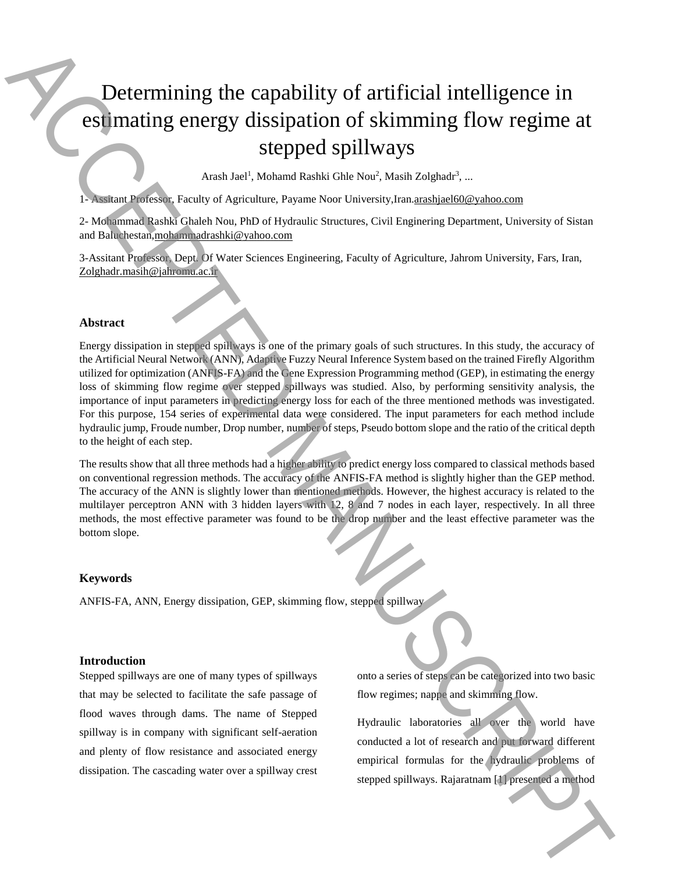# Determining the capability of artificial intelligence in estimating energy dissipation of skimming flow regime at stepped spillways

Arash Jael<sup>1</sup>, Mohamd Rashki Ghle Nou<sup>2</sup>, Masih Zolghadr<sup>3</sup>, ...

1- Assitant Professor, Faculty of Agriculture, Payame Noor University,Iran.arashjael60@yahoo.com

2- Mohammad Rashki Ghaleh Nou, PhD of Hydraulic Structures, Civil Enginering Department, University of Sistan and Baluchestan,mohammadrashki@yahoo.com

3-Assitant Professor, Dept. Of Water Sciences Engineering, Faculty of Agriculture, Jahrom University, Fars, Iran, Zolghadr.masih@jahromu.ac.ir

#### **Abstract**

Energy dissipation in stepped spillways is one of the primary goals of such structures. In this study, the accuracy of the Artificial Neural Network (ANN), Adaptive Fuzzy Neural Inference System based on the trained Firefly Algorithm utilized for optimization (ANFIS-FA) and the Gene Expression Programming method (GEP), in estimating the energy loss of skimming flow regime over stepped spillways was studied. Also, by performing sensitivity analysis, the importance of input parameters in predicting energy loss for each of the three mentioned methods was investigated. For this purpose, 154 series of experimental data were considered. The input parameters for each method include hydraulic jump, Froude number, Drop number, number of steps, Pseudo bottom slope and the ratio of the critical depth to the height of each step. **Stephen Stephen Stephen Stephen Stephen Stephen Stephen Stephen Stephen Stephen Stephen Stephen Stephen Stephen Stephen Stephen Stephen Stephen Stephen Stephen Stephen Stephen Stephen Stephen Stephen Stephen Stephen Step** 

The results show that all three methods had a higher ability to predict energy loss compared to classical methods based on conventional regression methods. The accuracy of the ANFIS-FA method is slightly higher than the GEP method. The accuracy of the ANN is slightly lower than mentioned methods. However, the highest accuracy is related to the multilayer perceptron ANN with 3 hidden layers with 12, 8 and 7 nodes in each layer, respectively. In all three methods, the most effective parameter was found to be the drop number and the least effective parameter was the bottom slope.

### **Keywords**

ANFIS-FA, ANN, Energy dissipation, GEP, skimming flow, stepped spillway

#### **Introduction**

Stepped spillways are one of many types of spillways that may be selected to facilitate the safe passage of flood waves through dams. The name of Stepped spillway is in company with significant self-aeration and plenty of flow resistance and associated energy dissipation. The cascading water over a spillway crest onto a series of steps can be categorized into two basic flow regimes; nappe and skimming flow.

Hydraulic laboratories all over the world have conducted a lot of research and put forward different empirical formulas for the hydraulic problems of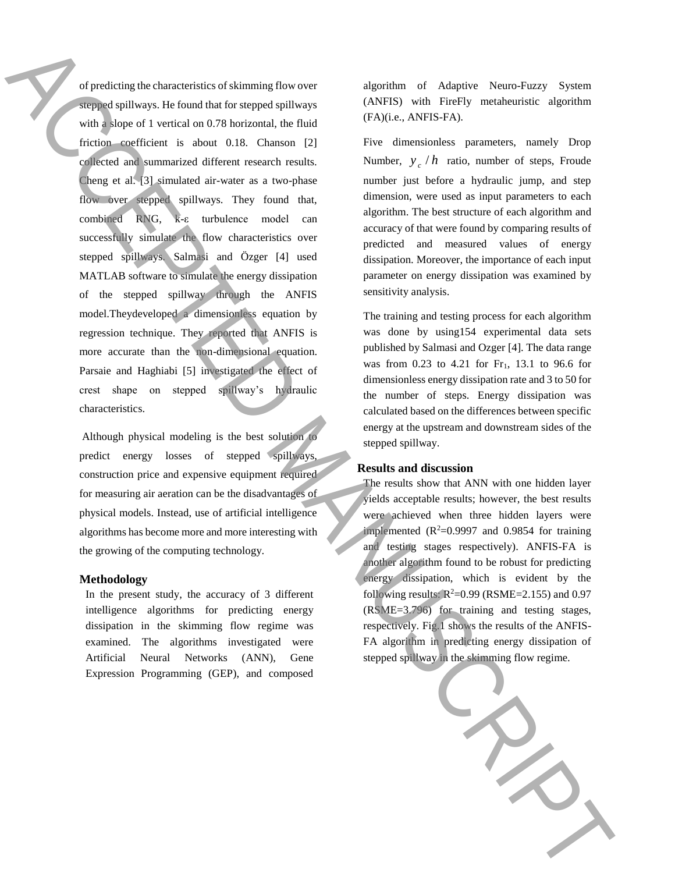of predicting the characteristics of skimming flow over stepped spillways. He found that for stepped spillways with a slope of 1 vertical on 0.78 horizontal, the fluid friction coefficient is about 0.18. Chanson [2] collected and summarized different research results. Cheng et al. [3] simulated air-water as a two-phase flow over stepped spillways. They found that, combined RNG, k-ε turbulence model can successfully simulate the flow characteristics over stepped spillways. Salmasi and Özger [4] used MATLAB software to simulate the energy dissipation of the stepped spillway through the ANFIS model.Theydeveloped a dimensionless equation by regression technique. They reported that ANFIS is more accurate than the non-dimensional equation. Parsaie and Haghiabi [5] investigated the effect of crest shape on stepped spillway's hydraulic characteristics. stephenometrics of altiming flow over<br>
detections of a stephenometric spinler.<br>
Stephenometric spinler of the skimming flow over<br>
detections of the skimming flow over<br>
considered spinler of the skimming flow over<br>
conside

Although physical modeling is the best solution to predict energy losses of stepped spillways, construction price and expensive equipment required for measuring air aeration can be the disadvantages of physical models. Instead, use of artificial intelligence algorithms has become more and more interesting with the growing of the computing technology.

#### **Methodology**

In the present study, the accuracy of 3 different intelligence algorithms for predicting energy dissipation in the skimming flow regime was examined. The algorithms investigated were Artificial Neural Networks (ANN), Gene Expression Programming (GEP), and composed

algorithm of Adaptive Neuro-Fuzzy System (ANFIS) with FireFly metaheuristic algorithm (FA)(i.e., ANFIS-FA).

Five dimensionless parameters, namely Drop Number,  $y_c / h$  ratio, number of steps, Froude number just before a hydraulic jump, and step dimension, were used as input parameters to each algorithm. The best structure of each algorithm and accuracy of that were found by comparing results of predicted and measured values of energy dissipation. Moreover, the importance of each input parameter on energy dissipation was examined by sensitivity analysis.

The training and testing process for each algorithm was done by using154 experimental data sets published by Salmasi and Ozger [4]. The data range was from 0.23 to 4.21 for Fr<sub>1</sub>, 13.1 to 96.6 for dimensionless energy dissipation rate and 3 to 50 for the number of steps. Energy dissipation was calculated based on the differences between specific energy at the upstream and downstream sides of the stepped spillway.

#### **Results and discussion**

The results show that ANN with one hidden layer yields acceptable results; however, the best results were achieved when three hidden layers were implemented  $(R^2=0.9997)$  and 0.9854 for training and testing stages respectively). ANFIS-FA is another algorithm found to be robust for predicting energy dissipation, which is evident by the following results:  $R^2$ =0.99 (RSME=2.155) and 0.97 (RSME=3.796) for training and testing stages, respectively. Fig.1 shows the results of the ANFIS-FA algorithm in predicting energy dissipation of

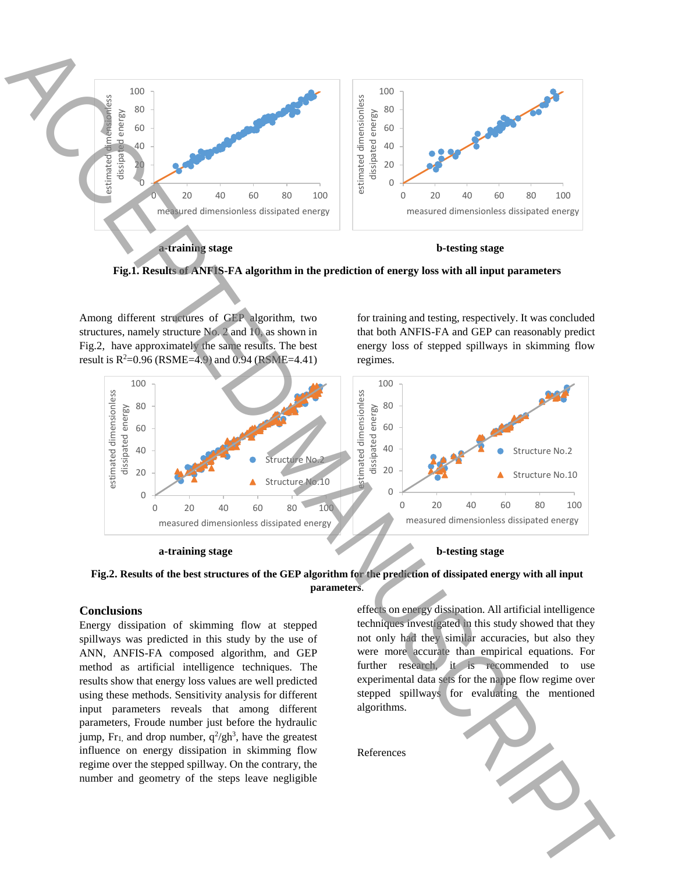

**Fig.1. Results of ANFIS-FA algorithm in the prediction of energy loss with all input parameters**

Among different structures of GEP algorithm, two structures, namely structure No. 2 and 10, as shown in Fig.2, have approximately the same results. The best result is  $R^2 = 0.96$  (RSME=4.9) and 0.94 (RSME=4.41)

for training and testing, respectively. It was concluded that both ANFIS-FA and GEP can reasonably predict energy loss of stepped spillways in skimming flow regimes.



**a-training stage b-testing stage**

## **Fig.2. Results of the best structures of the GEP algorithm for the prediction of dissipated energy with all input parameters**.

## **Conclusions**

Energy dissipation of skimming flow at stepped spillways was predicted in this study by the use of ANN, ANFIS-FA composed algorithm, and GEP method as artificial intelligence techniques. The results show that energy loss values are well predicted using these methods. Sensitivity analysis for different input parameters reveals that among different parameters, Froude number just before the hydraulic jump,  $Fr_1$ , and drop number,  $q^2$ /gh<sup>3</sup>, have the greatest influence on energy dissipation in skimming flow regime over the stepped spillway. On the contrary, the number and geometry of the steps leave negligible

effects on energy dissipation. All artificial intelligence techniques investigated in this study showed that they not only had they similar accuracies, but also they were more accurate than empirical equations. For further research, it is recommended to use experimental data sets for the nappe flow regime over stepped spillways for evaluating the mentioned algorithms.

References